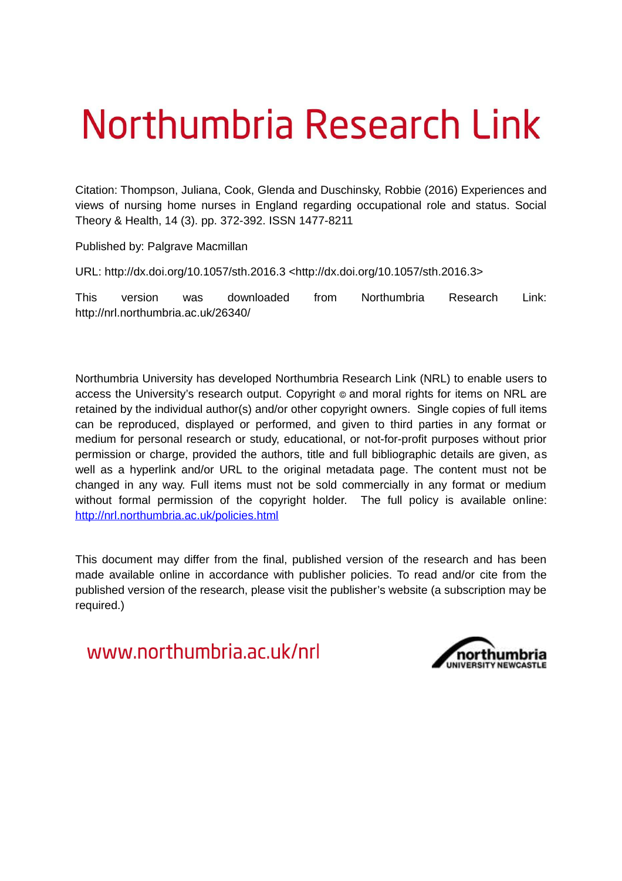# Northumbria Research Link

Citation: Thompson, Juliana, Cook, Glenda and Duschinsky, Robbie (2016) Experiences and views of nursing home nurses in England regarding occupational role and status. Social Theory & Health, 14 (3). pp. 372-392. ISSN 1477-8211

Published by: Palgrave Macmillan

URL: http://dx.doi.org/10.1057/sth.2016.3 <http://dx.doi.org/10.1057/sth.2016.3>

This version was downloaded from Northumbria Research Link: http://nrl.northumbria.ac.uk/26340/

Northumbria University has developed Northumbria Research Link (NRL) to enable users to access the University's research output. Copyright  $\circ$  and moral rights for items on NRL are retained by the individual author(s) and/or other copyright owners. Single copies of full items can be reproduced, displayed or performed, and given to third parties in any format or medium for personal research or study, educational, or not-for-profit purposes without prior permission or charge, provided the authors, title and full bibliographic details are given, as well as a hyperlink and/or URL to the original metadata page. The content must not be changed in any way. Full items must not be sold commercially in any format or medium without formal permission of the copyright holder. The full policy is available online: <http://nrl.northumbria.ac.uk/policies.html>

This document may differ from the final, published version of the research and has been made available online in accordance with publisher policies. To read and/or cite from the published version of the research, please visit the publisher's website (a subscription may be required.)

www.northumbria.ac.uk/nrl

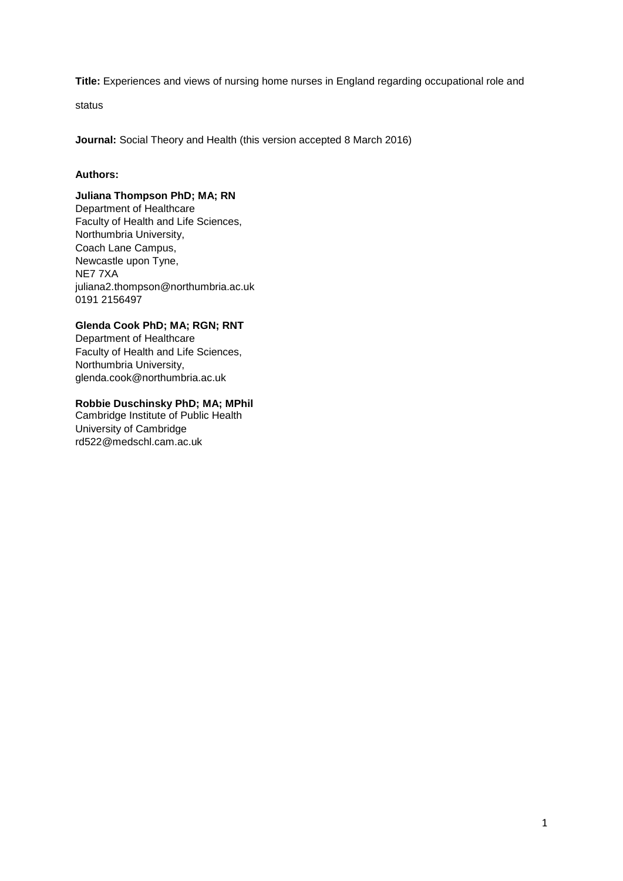**Title:** Experiences and views of nursing home nurses in England regarding occupational role and

status

**Journal:** Social Theory and Health (this version accepted 8 March 2016)

# **Authors:**

# **Juliana Thompson PhD; MA; RN**

Department of Healthcare Faculty of Health and Life Sciences, Northumbria University, Coach Lane Campus, Newcastle upon Tyne, NE7 7XA juliana2.thompson@northumbria.ac.uk 0191 2156497

# **Glenda Cook PhD; MA; RGN; RNT**

Department of Healthcare Faculty of Health and Life Sciences, Northumbria University, glenda.cook@northumbria.ac.uk

# **Robbie Duschinsky PhD; MA; MPhil**

Cambridge Institute of Public Health University of Cambridge rd522@medschl.cam.ac.uk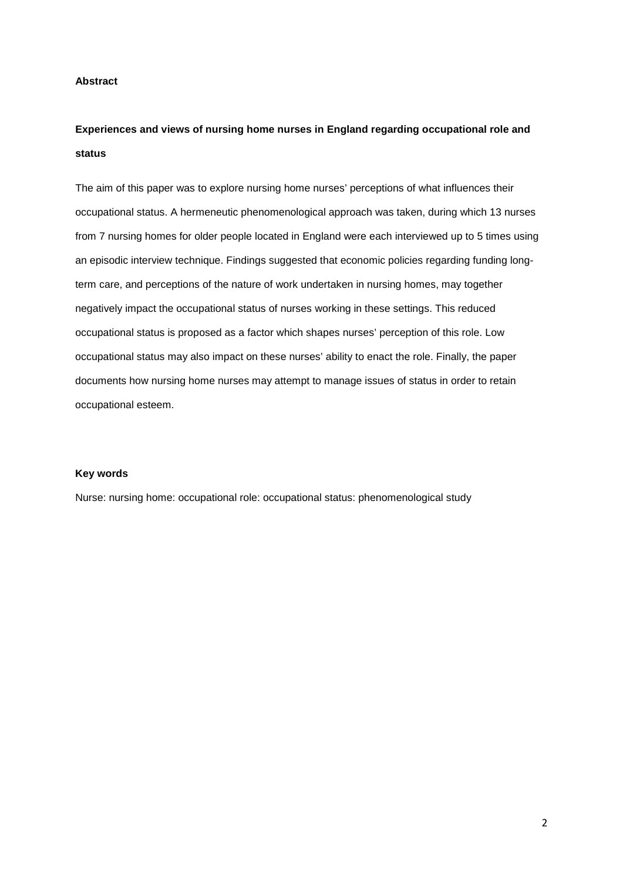# **Abstract**

# **Experiences and views of nursing home nurses in England regarding occupational role and status**

The aim of this paper was to explore nursing home nurses' perceptions of what influences their occupational status. A hermeneutic phenomenological approach was taken, during which 13 nurses from 7 nursing homes for older people located in England were each interviewed up to 5 times using an episodic interview technique. Findings suggested that economic policies regarding funding longterm care, and perceptions of the nature of work undertaken in nursing homes, may together negatively impact the occupational status of nurses working in these settings. This reduced occupational status is proposed as a factor which shapes nurses' perception of this role. Low occupational status may also impact on these nurses' ability to enact the role. Finally, the paper documents how nursing home nurses may attempt to manage issues of status in order to retain occupational esteem.

# **Key words**

Nurse: nursing home: occupational role: occupational status: phenomenological study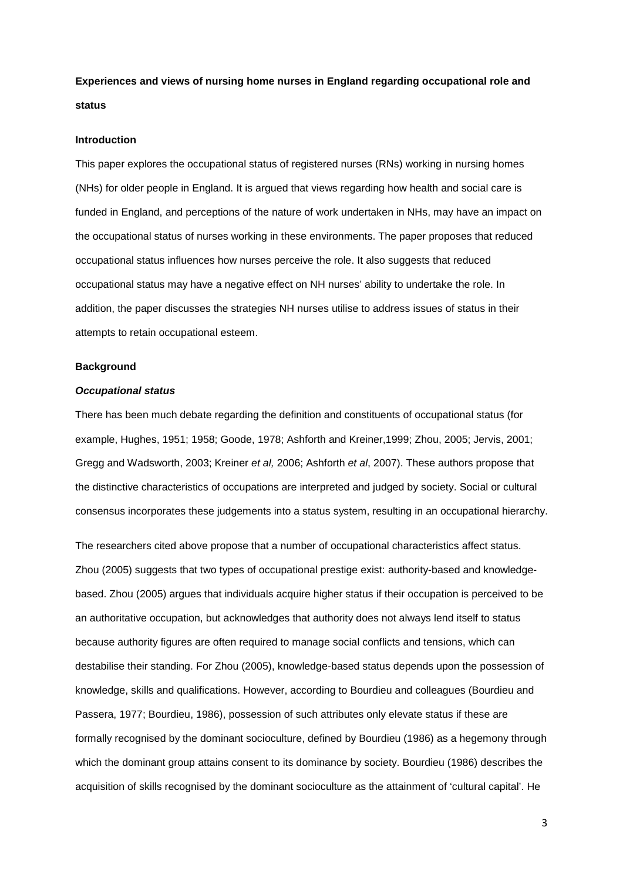**Experiences and views of nursing home nurses in England regarding occupational role and status**

#### **Introduction**

This paper explores the occupational status of registered nurses (RNs) working in nursing homes (NHs) for older people in England. It is argued that views regarding how health and social care is funded in England, and perceptions of the nature of work undertaken in NHs, may have an impact on the occupational status of nurses working in these environments. The paper proposes that reduced occupational status influences how nurses perceive the role. It also suggests that reduced occupational status may have a negative effect on NH nurses' ability to undertake the role. In addition, the paper discusses the strategies NH nurses utilise to address issues of status in their attempts to retain occupational esteem.

#### **Background**

#### **Occupational status**

There has been much debate regarding the definition and constituents of occupational status (for example, Hughes, 1951; 1958; Goode, 1978; Ashforth and Kreiner,1999; Zhou, 2005; Jervis, 2001; Gregg and Wadsworth, 2003; Kreiner et al, 2006; Ashforth et al, 2007). These authors propose that the distinctive characteristics of occupations are interpreted and judged by society. Social or cultural consensus incorporates these judgements into a status system, resulting in an occupational hierarchy.

The researchers cited above propose that a number of occupational characteristics affect status. Zhou (2005) suggests that two types of occupational prestige exist: authority-based and knowledgebased. Zhou (2005) argues that individuals acquire higher status if their occupation is perceived to be an authoritative occupation, but acknowledges that authority does not always lend itself to status because authority figures are often required to manage social conflicts and tensions, which can destabilise their standing. For Zhou (2005), knowledge-based status depends upon the possession of knowledge, skills and qualifications. However, according to Bourdieu and colleagues (Bourdieu and Passera, 1977; Bourdieu, 1986), possession of such attributes only elevate status if these are formally recognised by the dominant socioculture, defined by Bourdieu (1986) as a hegemony through which the dominant group attains consent to its dominance by society. Bourdieu (1986) describes the acquisition of skills recognised by the dominant socioculture as the attainment of 'cultural capital'. He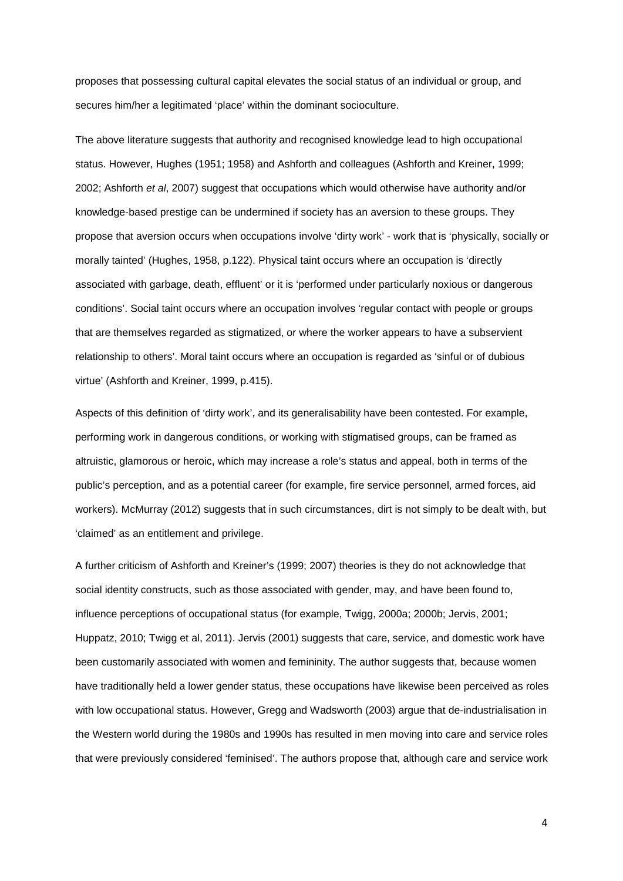proposes that possessing cultural capital elevates the social status of an individual or group, and secures him/her a legitimated 'place' within the dominant socioculture.

The above literature suggests that authority and recognised knowledge lead to high occupational status. However, Hughes (1951; 1958) and Ashforth and colleagues (Ashforth and Kreiner, 1999; 2002; Ashforth et al, 2007) suggest that occupations which would otherwise have authority and/or knowledge-based prestige can be undermined if society has an aversion to these groups. They propose that aversion occurs when occupations involve 'dirty work' - work that is 'physically, socially or morally tainted' (Hughes, 1958, p.122). Physical taint occurs where an occupation is 'directly associated with garbage, death, effluent' or it is 'performed under particularly noxious or dangerous conditions'. Social taint occurs where an occupation involves 'regular contact with people or groups that are themselves regarded as stigmatized, or where the worker appears to have a subservient relationship to others'. Moral taint occurs where an occupation is regarded as 'sinful or of dubious virtue' (Ashforth and Kreiner, 1999, p.415).

Aspects of this definition of 'dirty work', and its generalisability have been contested. For example, performing work in dangerous conditions, or working with stigmatised groups, can be framed as altruistic, glamorous or heroic, which may increase a role's status and appeal, both in terms of the public's perception, and as a potential career (for example, fire service personnel, armed forces, aid workers). McMurray (2012) suggests that in such circumstances, dirt is not simply to be dealt with, but 'claimed' as an entitlement and privilege.

A further criticism of Ashforth and Kreiner's (1999; 2007) theories is they do not acknowledge that social identity constructs, such as those associated with gender, may, and have been found to, influence perceptions of occupational status (for example, Twigg, 2000a; 2000b; Jervis, 2001; Huppatz, 2010; Twigg et al, 2011). Jervis (2001) suggests that care, service, and domestic work have been customarily associated with women and femininity. The author suggests that, because women have traditionally held a lower gender status, these occupations have likewise been perceived as roles with low occupational status. However, Gregg and Wadsworth (2003) argue that de-industrialisation in the Western world during the 1980s and 1990s has resulted in men moving into care and service roles that were previously considered 'feminised'. The authors propose that, although care and service work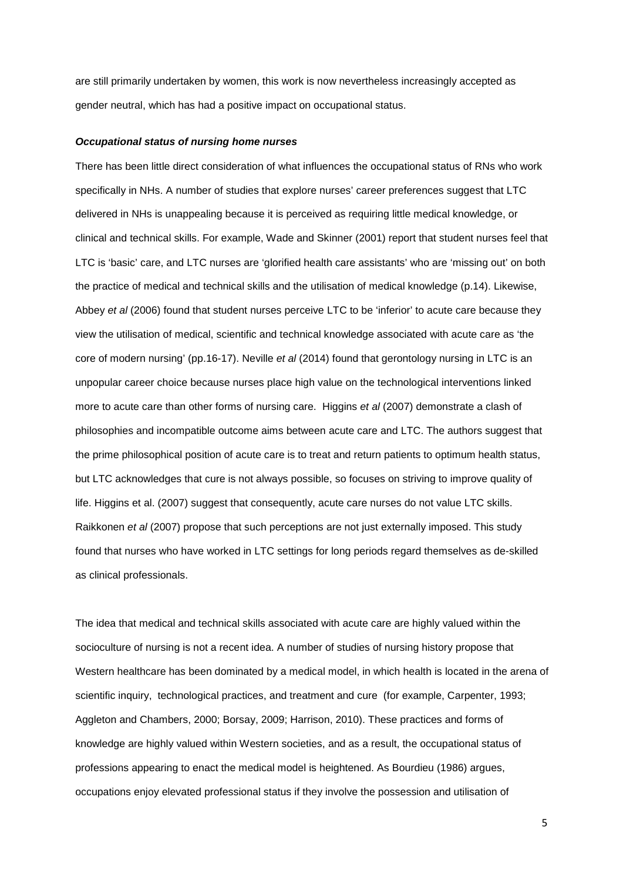are still primarily undertaken by women, this work is now nevertheless increasingly accepted as gender neutral, which has had a positive impact on occupational status.

#### **Occupational status of nursing home nurses**

There has been little direct consideration of what influences the occupational status of RNs who work specifically in NHs. A number of studies that explore nurses' career preferences suggest that LTC delivered in NHs is unappealing because it is perceived as requiring little medical knowledge, or clinical and technical skills. For example, Wade and Skinner (2001) report that student nurses feel that LTC is 'basic' care, and LTC nurses are 'glorified health care assistants' who are 'missing out' on both the practice of medical and technical skills and the utilisation of medical knowledge (p.14). Likewise, Abbey et al (2006) found that student nurses perceive LTC to be 'inferior' to acute care because they view the utilisation of medical, scientific and technical knowledge associated with acute care as 'the core of modern nursing' (pp.16-17). Neville et al (2014) found that gerontology nursing in LTC is an unpopular career choice because nurses place high value on the technological interventions linked more to acute care than other forms of nursing care. Higgins et al (2007) demonstrate a clash of philosophies and incompatible outcome aims between acute care and LTC. The authors suggest that the prime philosophical position of acute care is to treat and return patients to optimum health status, but LTC acknowledges that cure is not always possible, so focuses on striving to improve quality of life. Higgins et al. (2007) suggest that consequently, acute care nurses do not value LTC skills. Raikkonen et al (2007) propose that such perceptions are not just externally imposed. This study found that nurses who have worked in LTC settings for long periods regard themselves as de-skilled as clinical professionals.

The idea that medical and technical skills associated with acute care are highly valued within the socioculture of nursing is not a recent idea. A number of studies of nursing history propose that Western healthcare has been dominated by a medical model, in which health is located in the arena of scientific inquiry, technological practices, and treatment and cure (for example, Carpenter, 1993; Aggleton and Chambers, 2000; Borsay, 2009; Harrison, 2010). These practices and forms of knowledge are highly valued within Western societies, and as a result, the occupational status of professions appearing to enact the medical model is heightened. As Bourdieu (1986) argues, occupations enjoy elevated professional status if they involve the possession and utilisation of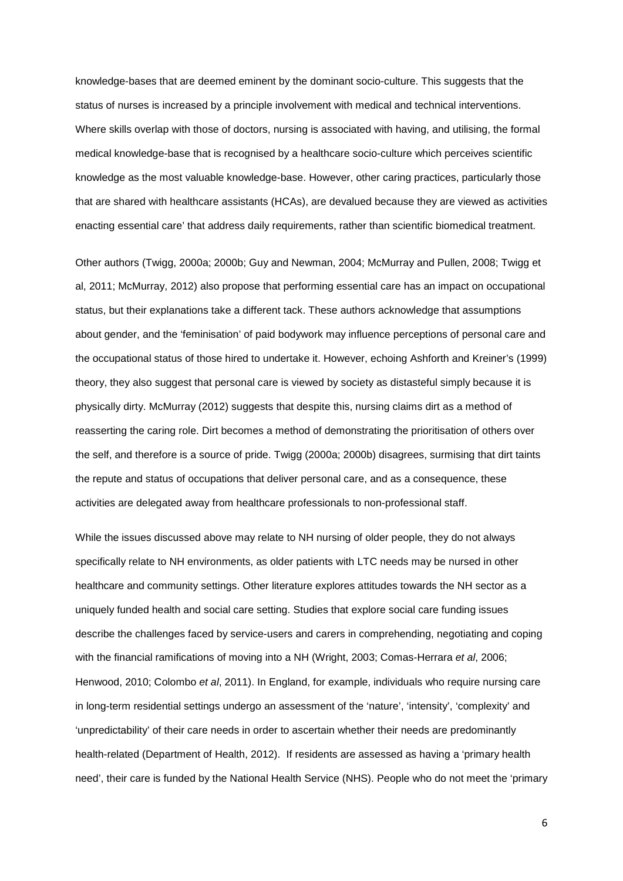knowledge-bases that are deemed eminent by the dominant socio-culture. This suggests that the status of nurses is increased by a principle involvement with medical and technical interventions. Where skills overlap with those of doctors, nursing is associated with having, and utilising, the formal medical knowledge-base that is recognised by a healthcare socio-culture which perceives scientific knowledge as the most valuable knowledge-base. However, other caring practices, particularly those that are shared with healthcare assistants (HCAs), are devalued because they are viewed as activities enacting essential care' that address daily requirements, rather than scientific biomedical treatment.

Other authors (Twigg, 2000a; 2000b; Guy and Newman, 2004; McMurray and Pullen, 2008; Twigg et al, 2011; McMurray, 2012) also propose that performing essential care has an impact on occupational status, but their explanations take a different tack. These authors acknowledge that assumptions about gender, and the 'feminisation' of paid bodywork may influence perceptions of personal care and the occupational status of those hired to undertake it. However, echoing Ashforth and Kreiner's (1999) theory, they also suggest that personal care is viewed by society as distasteful simply because it is physically dirty. McMurray (2012) suggests that despite this, nursing claims dirt as a method of reasserting the caring role. Dirt becomes a method of demonstrating the prioritisation of others over the self, and therefore is a source of pride. Twigg (2000a; 2000b) disagrees, surmising that dirt taints the repute and status of occupations that deliver personal care, and as a consequence, these activities are delegated away from healthcare professionals to non-professional staff.

While the issues discussed above may relate to NH nursing of older people, they do not always specifically relate to NH environments, as older patients with LTC needs may be nursed in other healthcare and community settings. Other literature explores attitudes towards the NH sector as a uniquely funded health and social care setting. Studies that explore social care funding issues describe the challenges faced by service-users and carers in comprehending, negotiating and coping with the financial ramifications of moving into a NH (Wright, 2003; Comas-Herrara et al, 2006; Henwood, 2010; Colombo et al, 2011). In England, for example, individuals who require nursing care in long-term residential settings undergo an assessment of the 'nature', 'intensity', 'complexity' and 'unpredictability' of their care needs in order to ascertain whether their needs are predominantly health-related (Department of Health, 2012). If residents are assessed as having a 'primary health need', their care is funded by the National Health Service (NHS). People who do not meet the 'primary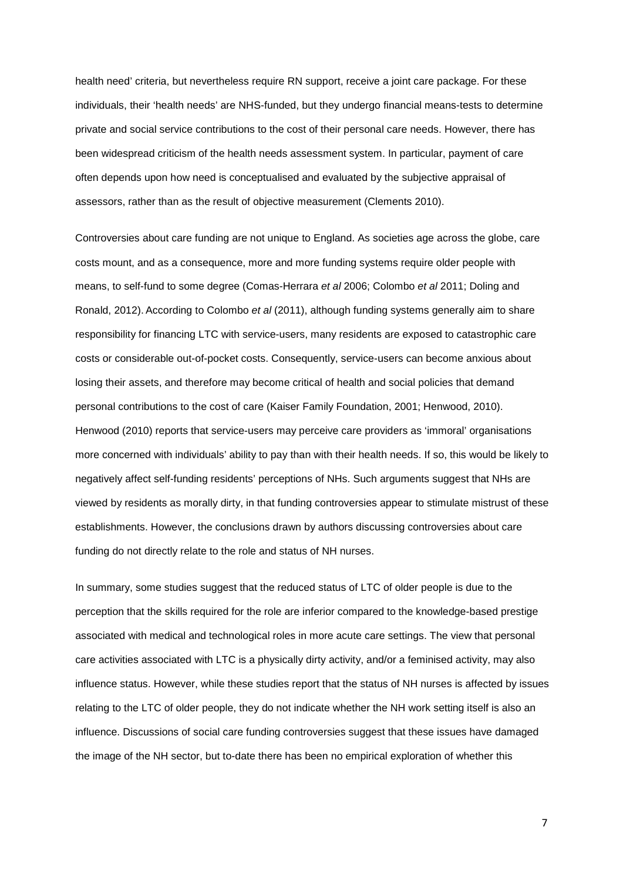health need' criteria, but nevertheless require RN support, receive a joint care package. For these individuals, their 'health needs' are NHS-funded, but they undergo financial means-tests to determine private and social service contributions to the cost of their personal care needs. However, there has been widespread criticism of the health needs assessment system. In particular, payment of care often depends upon how need is conceptualised and evaluated by the subjective appraisal of assessors, rather than as the result of objective measurement (Clements 2010).

Controversies about care funding are not unique to England. As societies age across the globe, care costs mount, and as a consequence, more and more funding systems require older people with means, to self-fund to some degree (Comas-Herrara et al 2006; Colombo et al 2011; Doling and Ronald, 2012). According to Colombo et al (2011), although funding systems generally aim to share responsibility for financing LTC with service-users, many residents are exposed to catastrophic care costs or considerable out-of-pocket costs. Consequently, service-users can become anxious about losing their assets, and therefore may become critical of health and social policies that demand personal contributions to the cost of care (Kaiser Family Foundation, 2001; Henwood, 2010). Henwood (2010) reports that service-users may perceive care providers as 'immoral' organisations more concerned with individuals' ability to pay than with their health needs. If so, this would be likely to negatively affect self-funding residents' perceptions of NHs. Such arguments suggest that NHs are viewed by residents as morally dirty, in that funding controversies appear to stimulate mistrust of these establishments. However, the conclusions drawn by authors discussing controversies about care funding do not directly relate to the role and status of NH nurses.

In summary, some studies suggest that the reduced status of LTC of older people is due to the perception that the skills required for the role are inferior compared to the knowledge-based prestige associated with medical and technological roles in more acute care settings. The view that personal care activities associated with LTC is a physically dirty activity, and/or a feminised activity, may also influence status. However, while these studies report that the status of NH nurses is affected by issues relating to the LTC of older people, they do not indicate whether the NH work setting itself is also an influence. Discussions of social care funding controversies suggest that these issues have damaged the image of the NH sector, but to-date there has been no empirical exploration of whether this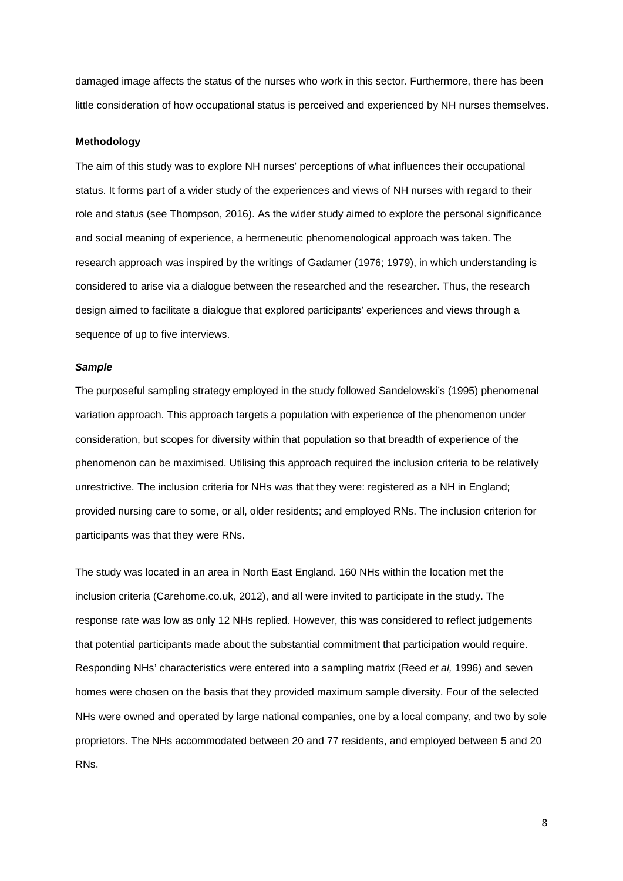damaged image affects the status of the nurses who work in this sector. Furthermore, there has been little consideration of how occupational status is perceived and experienced by NH nurses themselves.

# **Methodology**

The aim of this study was to explore NH nurses' perceptions of what influences their occupational status. It forms part of a wider study of the experiences and views of NH nurses with regard to their role and status (see Thompson, 2016). As the wider study aimed to explore the personal significance and social meaning of experience, a hermeneutic phenomenological approach was taken. The research approach was inspired by the writings of Gadamer (1976; 1979), in which understanding is considered to arise via a dialogue between the researched and the researcher. Thus, the research design aimed to facilitate a dialogue that explored participants' experiences and views through a sequence of up to five interviews.

#### **Sample**

The purposeful sampling strategy employed in the study followed Sandelowski's (1995) phenomenal variation approach. This approach targets a population with experience of the phenomenon under consideration, but scopes for diversity within that population so that breadth of experience of the phenomenon can be maximised. Utilising this approach required the inclusion criteria to be relatively unrestrictive. The inclusion criteria for NHs was that they were: registered as a NH in England; provided nursing care to some, or all, older residents; and employed RNs. The inclusion criterion for participants was that they were RNs.

The study was located in an area in North East England. 160 NHs within the location met the inclusion criteria (Carehome.co.uk, 2012), and all were invited to participate in the study. The response rate was low as only 12 NHs replied. However, this was considered to reflect judgements that potential participants made about the substantial commitment that participation would require. Responding NHs' characteristics were entered into a sampling matrix (Reed et al, 1996) and seven homes were chosen on the basis that they provided maximum sample diversity. Four of the selected NHs were owned and operated by large national companies, one by a local company, and two by sole proprietors. The NHs accommodated between 20 and 77 residents, and employed between 5 and 20 RNs.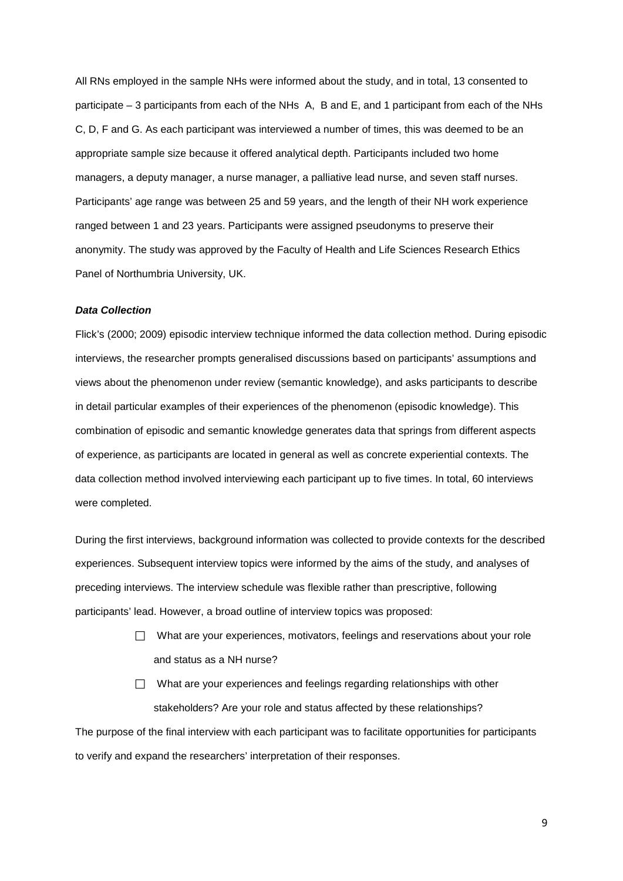All RNs employed in the sample NHs were informed about the study, and in total, 13 consented to participate – 3 participants from each of the NHs A, B and E, and 1 participant from each of the NHs C, D, F and G. As each participant was interviewed a number of times, this was deemed to be an appropriate sample size because it offered analytical depth. Participants included two home managers, a deputy manager, a nurse manager, a palliative lead nurse, and seven staff nurses. Participants' age range was between 25 and 59 years, and the length of their NH work experience ranged between 1 and 23 years. Participants were assigned pseudonyms to preserve their anonymity. The study was approved by the Faculty of Health and Life Sciences Research Ethics Panel of Northumbria University, UK.

# **Data Collection**

Flick's (2000; 2009) episodic interview technique informed the data collection method. During episodic interviews, the researcher prompts generalised discussions based on participants' assumptions and views about the phenomenon under review (semantic knowledge), and asks participants to describe in detail particular examples of their experiences of the phenomenon (episodic knowledge). This combination of episodic and semantic knowledge generates data that springs from different aspects of experience, as participants are located in general as well as concrete experiential contexts. The data collection method involved interviewing each participant up to five times. In total, 60 interviews were completed.

During the first interviews, background information was collected to provide contexts for the described experiences. Subsequent interview topics were informed by the aims of the study, and analyses of preceding interviews. The interview schedule was flexible rather than prescriptive, following participants' lead. However, a broad outline of interview topics was proposed:

- $\Box$  What are your experiences, motivators, feelings and reservations about your role and status as a NH nurse?
- $\Box$  What are your experiences and feelings regarding relationships with other stakeholders? Are your role and status affected by these relationships?

The purpose of the final interview with each participant was to facilitate opportunities for participants to verify and expand the researchers' interpretation of their responses.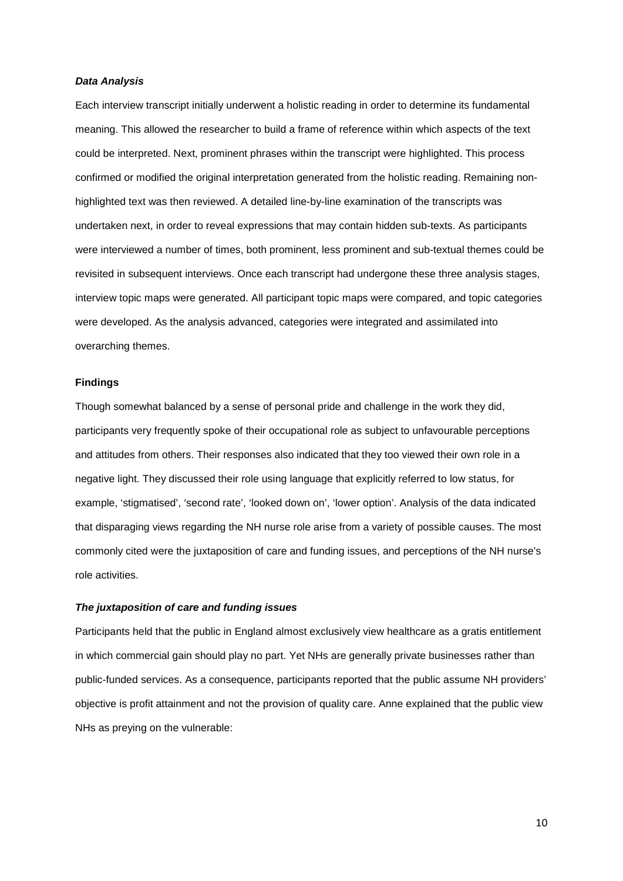#### **Data Analysis**

Each interview transcript initially underwent a holistic reading in order to determine its fundamental meaning. This allowed the researcher to build a frame of reference within which aspects of the text could be interpreted. Next, prominent phrases within the transcript were highlighted. This process confirmed or modified the original interpretation generated from the holistic reading. Remaining nonhighlighted text was then reviewed. A detailed line-by-line examination of the transcripts was undertaken next, in order to reveal expressions that may contain hidden sub-texts. As participants were interviewed a number of times, both prominent, less prominent and sub-textual themes could be revisited in subsequent interviews. Once each transcript had undergone these three analysis stages, interview topic maps were generated. All participant topic maps were compared, and topic categories were developed. As the analysis advanced, categories were integrated and assimilated into overarching themes.

# **Findings**

Though somewhat balanced by a sense of personal pride and challenge in the work they did, participants very frequently spoke of their occupational role as subject to unfavourable perceptions and attitudes from others. Their responses also indicated that they too viewed their own role in a negative light. They discussed their role using language that explicitly referred to low status, for example, 'stigmatised', 'second rate', 'looked down on', 'lower option'. Analysis of the data indicated that disparaging views regarding the NH nurse role arise from a variety of possible causes. The most commonly cited were the juxtaposition of care and funding issues, and perceptions of the NH nurse's role activities.

#### **The juxtaposition of care and funding issues**

Participants held that the public in England almost exclusively view healthcare as a gratis entitlement in which commercial gain should play no part. Yet NHs are generally private businesses rather than public-funded services. As a consequence, participants reported that the public assume NH providers' objective is profit attainment and not the provision of quality care. Anne explained that the public view NHs as preying on the vulnerable: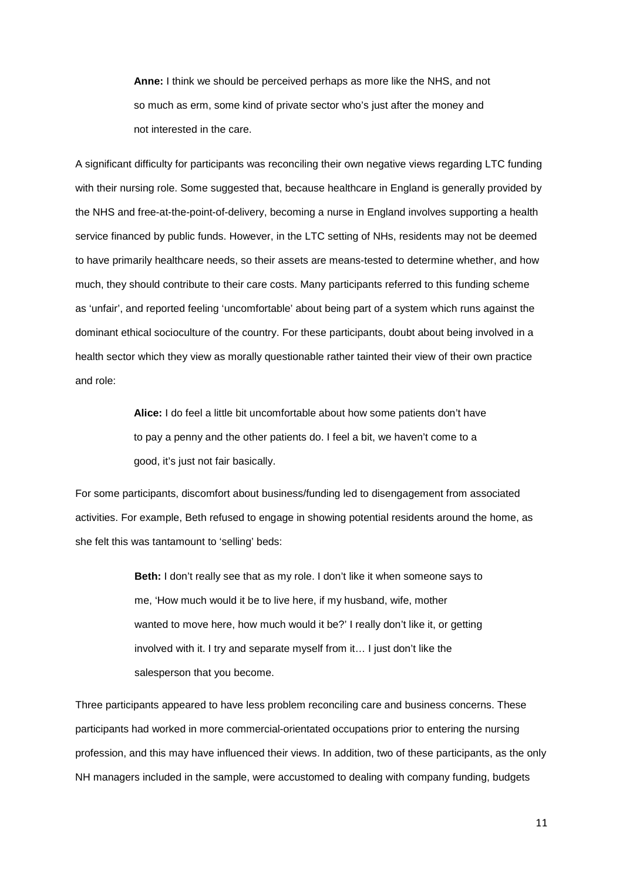**Anne:** I think we should be perceived perhaps as more like the NHS, and not so much as erm, some kind of private sector who's just after the money and not interested in the care.

A significant difficulty for participants was reconciling their own negative views regarding LTC funding with their nursing role. Some suggested that, because healthcare in England is generally provided by the NHS and free-at-the-point-of-delivery, becoming a nurse in England involves supporting a health service financed by public funds. However, in the LTC setting of NHs, residents may not be deemed to have primarily healthcare needs, so their assets are means-tested to determine whether, and how much, they should contribute to their care costs. Many participants referred to this funding scheme as 'unfair', and reported feeling 'uncomfortable' about being part of a system which runs against the dominant ethical socioculture of the country. For these participants, doubt about being involved in a health sector which they view as morally questionable rather tainted their view of their own practice and role:

> **Alice:** I do feel a little bit uncomfortable about how some patients don't have to pay a penny and the other patients do. I feel a bit, we haven't come to a good, it's just not fair basically.

For some participants, discomfort about business/funding led to disengagement from associated activities. For example, Beth refused to engage in showing potential residents around the home, as she felt this was tantamount to 'selling' beds:

> **Beth:** I don't really see that as my role. I don't like it when someone says to me, 'How much would it be to live here, if my husband, wife, mother wanted to move here, how much would it be?' I really don't like it, or getting involved with it. I try and separate myself from it… I just don't like the salesperson that you become.

Three participants appeared to have less problem reconciling care and business concerns. These participants had worked in more commercial-orientated occupations prior to entering the nursing profession, and this may have influenced their views. In addition, two of these participants, as the only NH managers included in the sample, were accustomed to dealing with company funding, budgets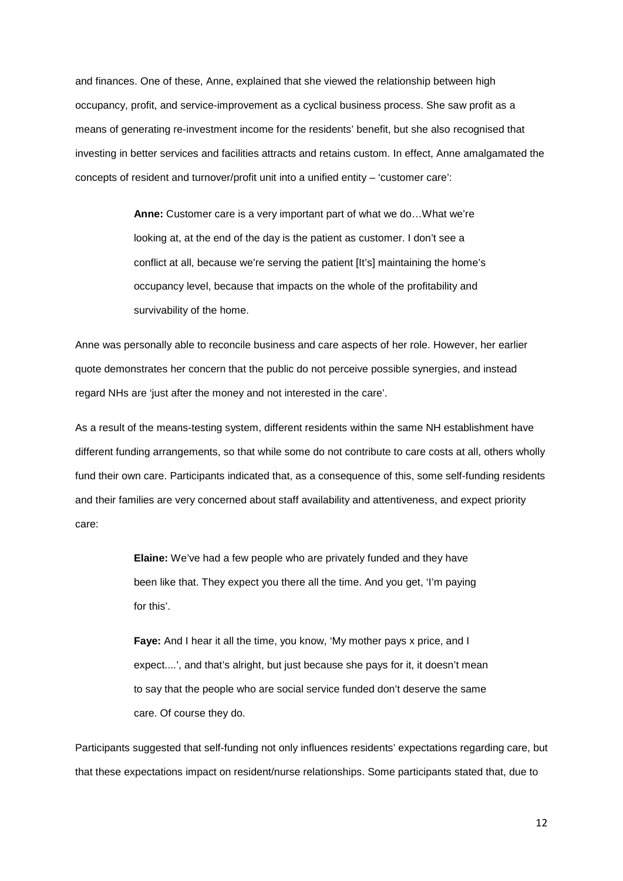and finances. One of these, Anne, explained that she viewed the relationship between high occupancy, profit, and service-improvement as a cyclical business process. She saw profit as a means of generating re-investment income for the residents' benefit, but she also recognised that investing in better services and facilities attracts and retains custom. In effect, Anne amalgamated the concepts of resident and turnover/profit unit into a unified entity – 'customer care':

> **Anne:** Customer care is a very important part of what we do…What we're looking at, at the end of the day is the patient as customer. I don't see a conflict at all, because we're serving the patient [It's] maintaining the home's occupancy level, because that impacts on the whole of the profitability and survivability of the home.

Anne was personally able to reconcile business and care aspects of her role. However, her earlier quote demonstrates her concern that the public do not perceive possible synergies, and instead regard NHs are 'just after the money and not interested in the care'.

As a result of the means-testing system, different residents within the same NH establishment have different funding arrangements, so that while some do not contribute to care costs at all, others wholly fund their own care. Participants indicated that, as a consequence of this, some self-funding residents and their families are very concerned about staff availability and attentiveness, and expect priority care:

> **Elaine:** We've had a few people who are privately funded and they have been like that. They expect you there all the time. And you get, 'I'm paying for this'.

**Faye:** And I hear it all the time, you know, 'My mother pays x price, and I expect....', and that's alright, but just because she pays for it, it doesn't mean to say that the people who are social service funded don't deserve the same care. Of course they do.

Participants suggested that self-funding not only influences residents' expectations regarding care, but that these expectations impact on resident/nurse relationships. Some participants stated that, due to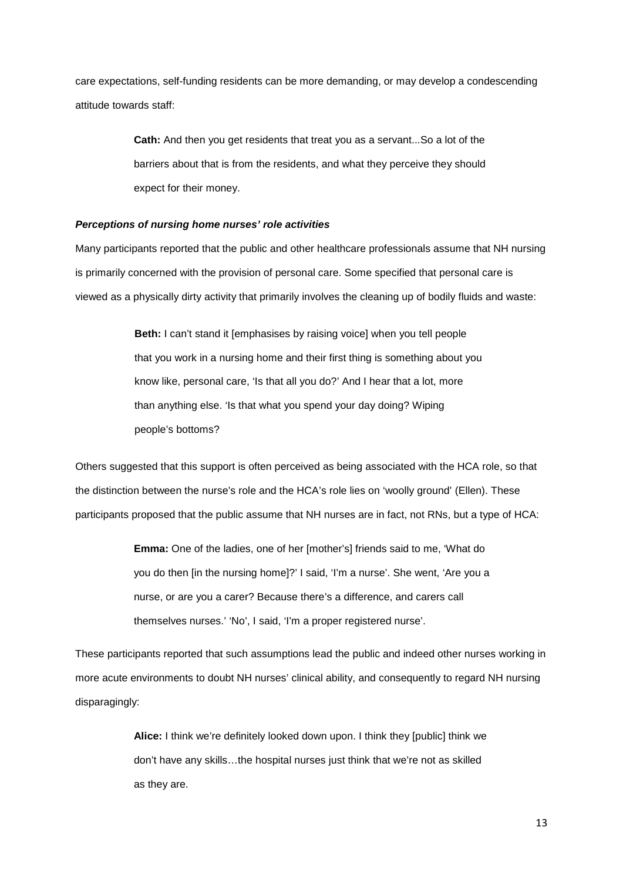care expectations, self-funding residents can be more demanding, or may develop a condescending attitude towards staff:

> **Cath:** And then you get residents that treat you as a servant...So a lot of the barriers about that is from the residents, and what they perceive they should expect for their money.

#### **Perceptions of nursing home nurses' role activities**

Many participants reported that the public and other healthcare professionals assume that NH nursing is primarily concerned with the provision of personal care. Some specified that personal care is viewed as a physically dirty activity that primarily involves the cleaning up of bodily fluids and waste:

> **Beth:** I can't stand it [emphasises by raising voice] when you tell people that you work in a nursing home and their first thing is something about you know like, personal care, 'Is that all you do?' And I hear that a lot, more than anything else. 'Is that what you spend your day doing? Wiping people's bottoms?

Others suggested that this support is often perceived as being associated with the HCA role, so that the distinction between the nurse's role and the HCA's role lies on 'woolly ground' (Ellen). These participants proposed that the public assume that NH nurses are in fact, not RNs, but a type of HCA:

> **Emma:** One of the ladies, one of her [mother's] friends said to me, 'What do you do then [in the nursing home]?' I said, 'I'm a nurse'. She went, 'Are you a nurse, or are you a carer? Because there's a difference, and carers call themselves nurses.' 'No', I said, 'I'm a proper registered nurse'.

These participants reported that such assumptions lead the public and indeed other nurses working in more acute environments to doubt NH nurses' clinical ability, and consequently to regard NH nursing disparagingly:

> **Alice:** I think we're definitely looked down upon. I think they [public] think we don't have any skills…the hospital nurses just think that we're not as skilled as they are.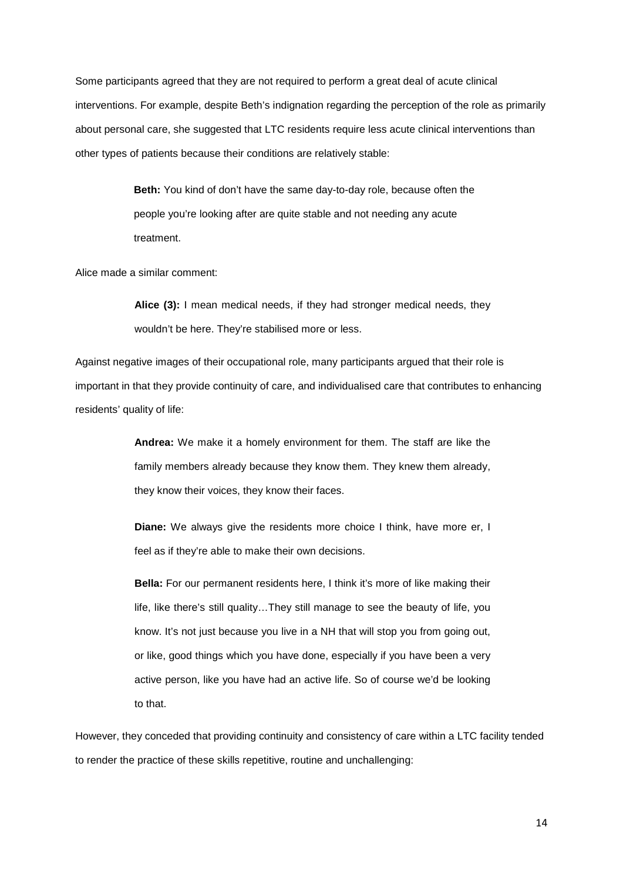Some participants agreed that they are not required to perform a great deal of acute clinical interventions. For example, despite Beth's indignation regarding the perception of the role as primarily about personal care, she suggested that LTC residents require less acute clinical interventions than other types of patients because their conditions are relatively stable:

> **Beth:** You kind of don't have the same day-to-day role, because often the people you're looking after are quite stable and not needing any acute treatment.

Alice made a similar comment:

**Alice (3):** I mean medical needs, if they had stronger medical needs, they wouldn't be here. They're stabilised more or less.

Against negative images of their occupational role, many participants argued that their role is important in that they provide continuity of care, and individualised care that contributes to enhancing residents' quality of life:

> **Andrea:** We make it a homely environment for them. The staff are like the family members already because they know them. They knew them already, they know their voices, they know their faces.

> **Diane:** We always give the residents more choice I think, have more er, I feel as if they're able to make their own decisions.

> **Bella:** For our permanent residents here, I think it's more of like making their life, like there's still quality…They still manage to see the beauty of life, you know. It's not just because you live in a NH that will stop you from going out, or like, good things which you have done, especially if you have been a very active person, like you have had an active life. So of course we'd be looking to that.

However, they conceded that providing continuity and consistency of care within a LTC facility tended to render the practice of these skills repetitive, routine and unchallenging: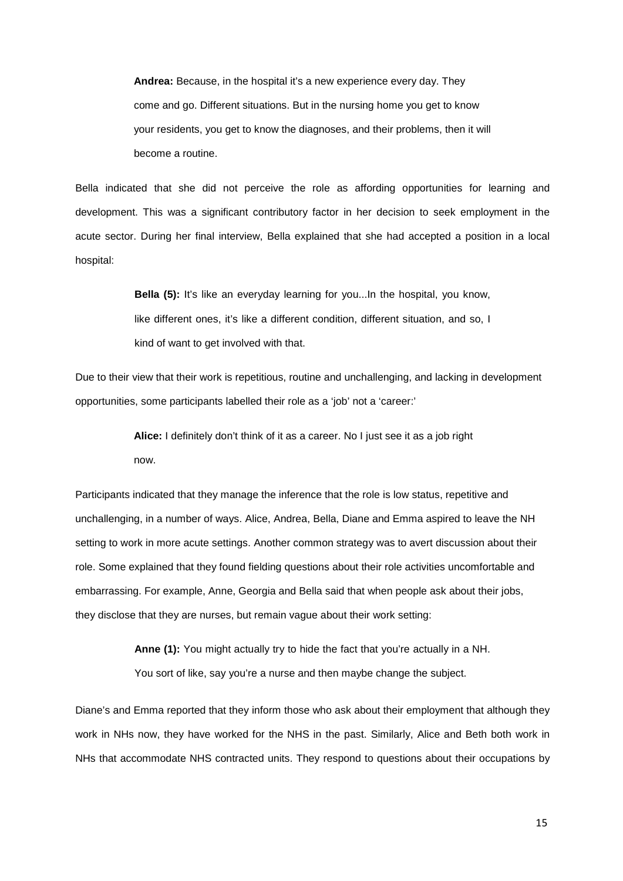**Andrea:** Because, in the hospital it's a new experience every day. They come and go. Different situations. But in the nursing home you get to know your residents, you get to know the diagnoses, and their problems, then it will become a routine.

Bella indicated that she did not perceive the role as affording opportunities for learning and development. This was a significant contributory factor in her decision to seek employment in the acute sector. During her final interview, Bella explained that she had accepted a position in a local hospital:

> **Bella (5):** It's like an everyday learning for you...In the hospital, you know, like different ones, it's like a different condition, different situation, and so, I kind of want to get involved with that.

Due to their view that their work is repetitious, routine and unchallenging, and lacking in development opportunities, some participants labelled their role as a 'job' not a 'career:'

> **Alice:** I definitely don't think of it as a career. No I just see it as a job right now.

Participants indicated that they manage the inference that the role is low status, repetitive and unchallenging, in a number of ways. Alice, Andrea, Bella, Diane and Emma aspired to leave the NH setting to work in more acute settings. Another common strategy was to avert discussion about their role. Some explained that they found fielding questions about their role activities uncomfortable and embarrassing. For example, Anne, Georgia and Bella said that when people ask about their jobs, they disclose that they are nurses, but remain vague about their work setting:

> **Anne (1):** You might actually try to hide the fact that you're actually in a NH. You sort of like, say you're a nurse and then maybe change the subject.

Diane's and Emma reported that they inform those who ask about their employment that although they work in NHs now, they have worked for the NHS in the past. Similarly, Alice and Beth both work in NHs that accommodate NHS contracted units. They respond to questions about their occupations by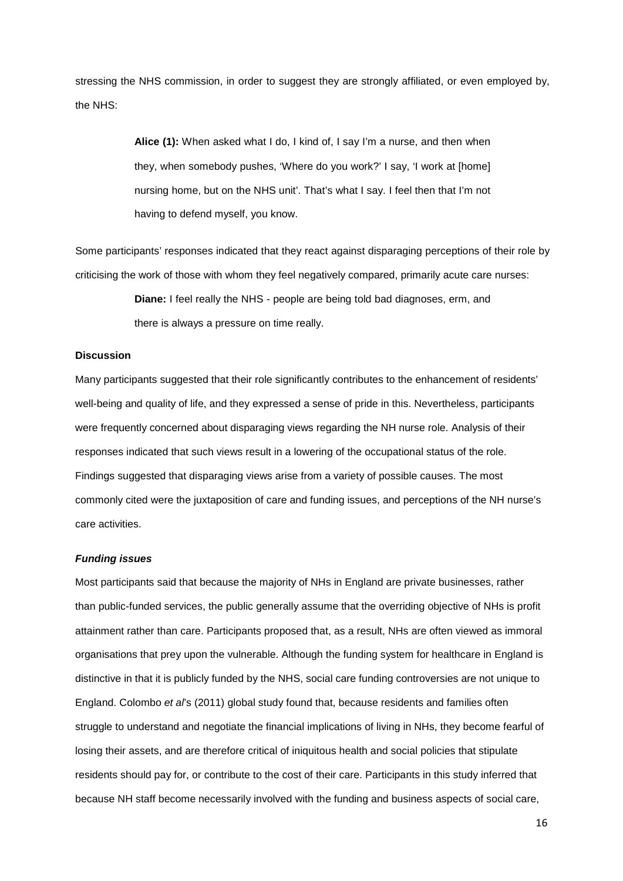stressing the NHS commission, in order to suggest they are strongly affiliated, or even employed by, the NHS:

> **Alice (1):** When asked what I do, I kind of, I say I'm a nurse, and then when they, when somebody pushes, 'Where do you work?' I say, 'I work at [home] nursing home, but on the NHS unit'. That's what I say. I feel then that I'm not having to defend myself, you know.

Some participants' responses indicated that they react against disparaging perceptions of their role by criticising the work of those with whom they feel negatively compared, primarily acute care nurses:

> **Diane:** I feel really the NHS - people are being told bad diagnoses, erm, and there is always a pressure on time really.

# **Discussion**

Many participants suggested that their role significantly contributes to the enhancement of residents' well-being and quality of life, and they expressed a sense of pride in this. Nevertheless, participants were frequently concerned about disparaging views regarding the NH nurse role. Analysis of their responses indicated that such views result in a lowering of the occupational status of the role. Findings suggested that disparaging views arise from a variety of possible causes. The most commonly cited were the juxtaposition of care and funding issues, and perceptions of the NH nurse's care activities.

#### **Funding issues**

Most participants said that because the majority of NHs in England are private businesses, rather than public-funded services, the public generally assume that the overriding objective of NHs is profit attainment rather than care. Participants proposed that, as a result, NHs are often viewed as immoral organisations that prey upon the vulnerable. Although the funding system for healthcare in England is distinctive in that it is publicly funded by the NHS, social care funding controversies are not unique to England. Colombo et al's (2011) global study found that, because residents and families often struggle to understand and negotiate the financial implications of living in NHs, they become fearful of losing their assets, and are therefore critical of iniquitous health and social policies that stipulate residents should pay for, or contribute to the cost of their care. Participants in this study inferred that because NH staff become necessarily involved with the funding and business aspects of social care,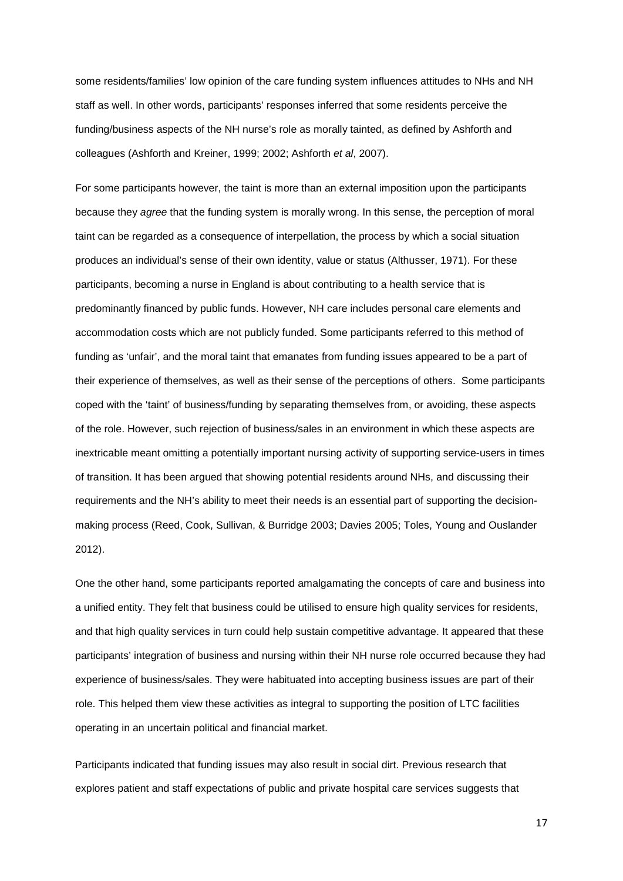some residents/families' low opinion of the care funding system influences attitudes to NHs and NH staff as well. In other words, participants' responses inferred that some residents perceive the funding/business aspects of the NH nurse's role as morally tainted, as defined by Ashforth and colleagues (Ashforth and Kreiner, 1999; 2002; Ashforth et al, 2007).

For some participants however, the taint is more than an external imposition upon the participants because they agree that the funding system is morally wrong. In this sense, the perception of moral taint can be regarded as a consequence of interpellation, the process by which a social situation produces an individual's sense of their own identity, value or status (Althusser, 1971). For these participants, becoming a nurse in England is about contributing to a health service that is predominantly financed by public funds. However, NH care includes personal care elements and accommodation costs which are not publicly funded. Some participants referred to this method of funding as 'unfair', and the moral taint that emanates from funding issues appeared to be a part of their experience of themselves, as well as their sense of the perceptions of others. Some participants coped with the 'taint' of business/funding by separating themselves from, or avoiding, these aspects of the role. However, such rejection of business/sales in an environment in which these aspects are inextricable meant omitting a potentially important nursing activity of supporting service-users in times of transition. It has been argued that showing potential residents around NHs, and discussing their requirements and the NH's ability to meet their needs is an essential part of supporting the decisionmaking process (Reed, Cook, Sullivan, & Burridge 2003; Davies 2005; Toles, Young and Ouslander 2012).

One the other hand, some participants reported amalgamating the concepts of care and business into a unified entity. They felt that business could be utilised to ensure high quality services for residents, and that high quality services in turn could help sustain competitive advantage. It appeared that these participants' integration of business and nursing within their NH nurse role occurred because they had experience of business/sales. They were habituated into accepting business issues are part of their role. This helped them view these activities as integral to supporting the position of LTC facilities operating in an uncertain political and financial market.

Participants indicated that funding issues may also result in social dirt. Previous research that explores patient and staff expectations of public and private hospital care services suggests that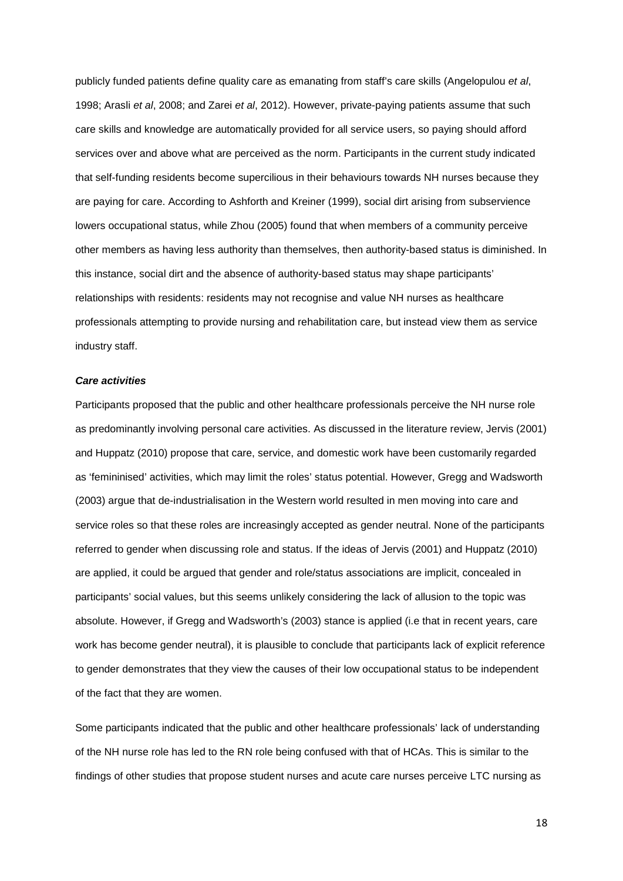publicly funded patients define quality care as emanating from staff's care skills (Angelopulou et al, 1998; Arasli et al, 2008; and Zarei et al, 2012). However, private-paying patients assume that such care skills and knowledge are automatically provided for all service users, so paying should afford services over and above what are perceived as the norm. Participants in the current study indicated that self-funding residents become supercilious in their behaviours towards NH nurses because they are paying for care. According to Ashforth and Kreiner (1999), social dirt arising from subservience lowers occupational status, while Zhou (2005) found that when members of a community perceive other members as having less authority than themselves, then authority-based status is diminished. In this instance, social dirt and the absence of authority-based status may shape participants' relationships with residents: residents may not recognise and value NH nurses as healthcare professionals attempting to provide nursing and rehabilitation care, but instead view them as service industry staff.

#### **Care activities**

Participants proposed that the public and other healthcare professionals perceive the NH nurse role as predominantly involving personal care activities. As discussed in the literature review, Jervis (2001) and Huppatz (2010) propose that care, service, and domestic work have been customarily regarded as 'femininised' activities, which may limit the roles' status potential. However, Gregg and Wadsworth (2003) argue that de-industrialisation in the Western world resulted in men moving into care and service roles so that these roles are increasingly accepted as gender neutral. None of the participants referred to gender when discussing role and status. If the ideas of Jervis (2001) and Huppatz (2010) are applied, it could be argued that gender and role/status associations are implicit, concealed in participants' social values, but this seems unlikely considering the lack of allusion to the topic was absolute. However, if Gregg and Wadsworth's (2003) stance is applied (i.e that in recent years, care work has become gender neutral), it is plausible to conclude that participants lack of explicit reference to gender demonstrates that they view the causes of their low occupational status to be independent of the fact that they are women.

Some participants indicated that the public and other healthcare professionals' lack of understanding of the NH nurse role has led to the RN role being confused with that of HCAs. This is similar to the findings of other studies that propose student nurses and acute care nurses perceive LTC nursing as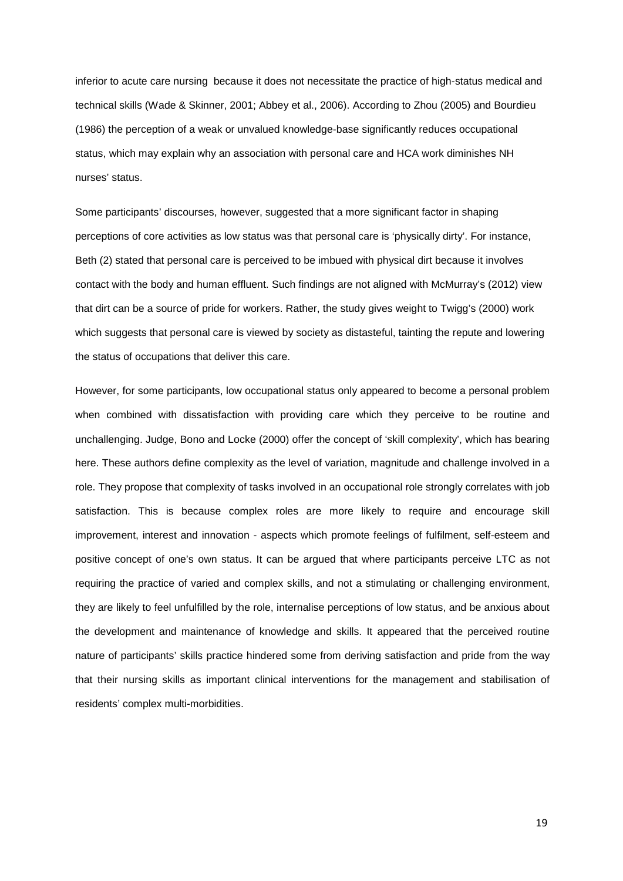inferior to acute care nursing because it does not necessitate the practice of high-status medical and technical skills (Wade & Skinner, 2001; Abbey et al., 2006). According to Zhou (2005) and Bourdieu (1986) the perception of a weak or unvalued knowledge-base significantly reduces occupational status, which may explain why an association with personal care and HCA work diminishes NH nurses' status.

Some participants' discourses, however, suggested that a more significant factor in shaping perceptions of core activities as low status was that personal care is 'physically dirty'. For instance, Beth (2) stated that personal care is perceived to be imbued with physical dirt because it involves contact with the body and human effluent. Such findings are not aligned with McMurray's (2012) view that dirt can be a source of pride for workers. Rather, the study gives weight to Twigg's (2000) work which suggests that personal care is viewed by society as distasteful, tainting the repute and lowering the status of occupations that deliver this care.

However, for some participants, low occupational status only appeared to become a personal problem when combined with dissatisfaction with providing care which they perceive to be routine and unchallenging. Judge, Bono and Locke (2000) offer the concept of 'skill complexity', which has bearing here. These authors define complexity as the level of variation, magnitude and challenge involved in a role. They propose that complexity of tasks involved in an occupational role strongly correlates with job satisfaction. This is because complex roles are more likely to require and encourage skill improvement, interest and innovation - aspects which promote feelings of fulfilment, self-esteem and positive concept of one's own status. It can be argued that where participants perceive LTC as not requiring the practice of varied and complex skills, and not a stimulating or challenging environment, they are likely to feel unfulfilled by the role, internalise perceptions of low status, and be anxious about the development and maintenance of knowledge and skills. It appeared that the perceived routine nature of participants' skills practice hindered some from deriving satisfaction and pride from the way that their nursing skills as important clinical interventions for the management and stabilisation of residents' complex multi-morbidities.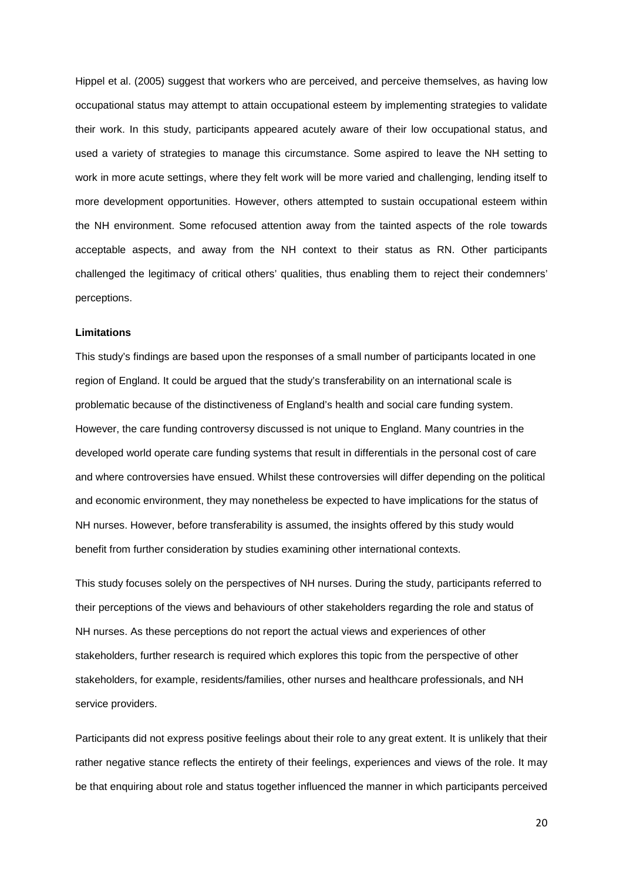Hippel et al. (2005) suggest that workers who are perceived, and perceive themselves, as having low occupational status may attempt to attain occupational esteem by implementing strategies to validate their work. In this study, participants appeared acutely aware of their low occupational status, and used a variety of strategies to manage this circumstance. Some aspired to leave the NH setting to work in more acute settings, where they felt work will be more varied and challenging, lending itself to more development opportunities. However, others attempted to sustain occupational esteem within the NH environment. Some refocused attention away from the tainted aspects of the role towards acceptable aspects, and away from the NH context to their status as RN. Other participants challenged the legitimacy of critical others' qualities, thus enabling them to reject their condemners' perceptions.

# **Limitations**

This study's findings are based upon the responses of a small number of participants located in one region of England. It could be argued that the study's transferability on an international scale is problematic because of the distinctiveness of England's health and social care funding system. However, the care funding controversy discussed is not unique to England. Many countries in the developed world operate care funding systems that result in differentials in the personal cost of care and where controversies have ensued. Whilst these controversies will differ depending on the political and economic environment, they may nonetheless be expected to have implications for the status of NH nurses. However, before transferability is assumed, the insights offered by this study would benefit from further consideration by studies examining other international contexts.

This study focuses solely on the perspectives of NH nurses. During the study, participants referred to their perceptions of the views and behaviours of other stakeholders regarding the role and status of NH nurses. As these perceptions do not report the actual views and experiences of other stakeholders, further research is required which explores this topic from the perspective of other stakeholders, for example, residents/families, other nurses and healthcare professionals, and NH service providers.

Participants did not express positive feelings about their role to any great extent. It is unlikely that their rather negative stance reflects the entirety of their feelings, experiences and views of the role. It may be that enquiring about role and status together influenced the manner in which participants perceived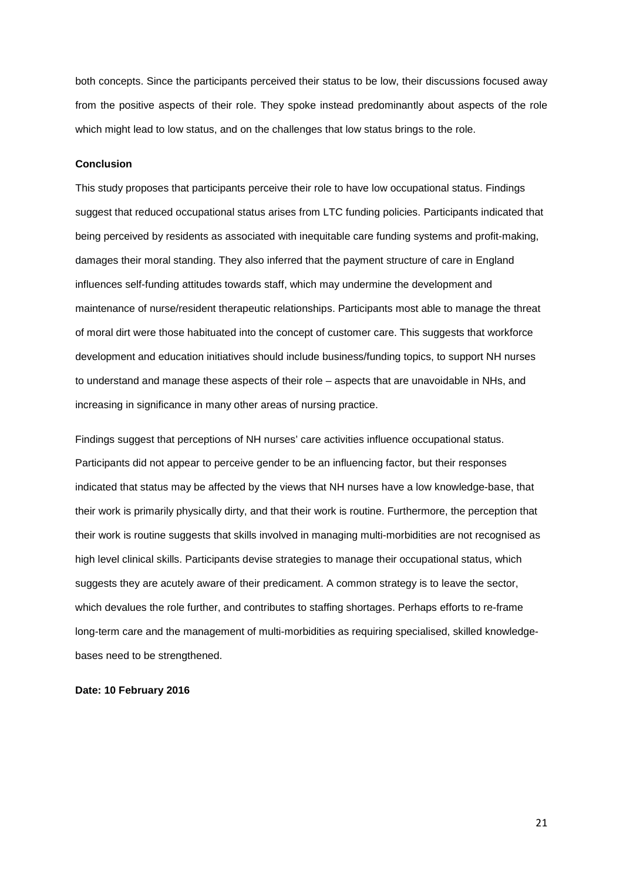both concepts. Since the participants perceived their status to be low, their discussions focused away from the positive aspects of their role. They spoke instead predominantly about aspects of the role which might lead to low status, and on the challenges that low status brings to the role.

#### **Conclusion**

This study proposes that participants perceive their role to have low occupational status. Findings suggest that reduced occupational status arises from LTC funding policies. Participants indicated that being perceived by residents as associated with inequitable care funding systems and profit-making, damages their moral standing. They also inferred that the payment structure of care in England influences self-funding attitudes towards staff, which may undermine the development and maintenance of nurse/resident therapeutic relationships. Participants most able to manage the threat of moral dirt were those habituated into the concept of customer care. This suggests that workforce development and education initiatives should include business/funding topics, to support NH nurses to understand and manage these aspects of their role – aspects that are unavoidable in NHs, and increasing in significance in many other areas of nursing practice.

Findings suggest that perceptions of NH nurses' care activities influence occupational status. Participants did not appear to perceive gender to be an influencing factor, but their responses indicated that status may be affected by the views that NH nurses have a low knowledge-base, that their work is primarily physically dirty, and that their work is routine. Furthermore, the perception that their work is routine suggests that skills involved in managing multi-morbidities are not recognised as high level clinical skills. Participants devise strategies to manage their occupational status, which suggests they are acutely aware of their predicament. A common strategy is to leave the sector, which devalues the role further, and contributes to staffing shortages. Perhaps efforts to re-frame long-term care and the management of multi-morbidities as requiring specialised, skilled knowledgebases need to be strengthened.

#### **Date: 10 February 2016**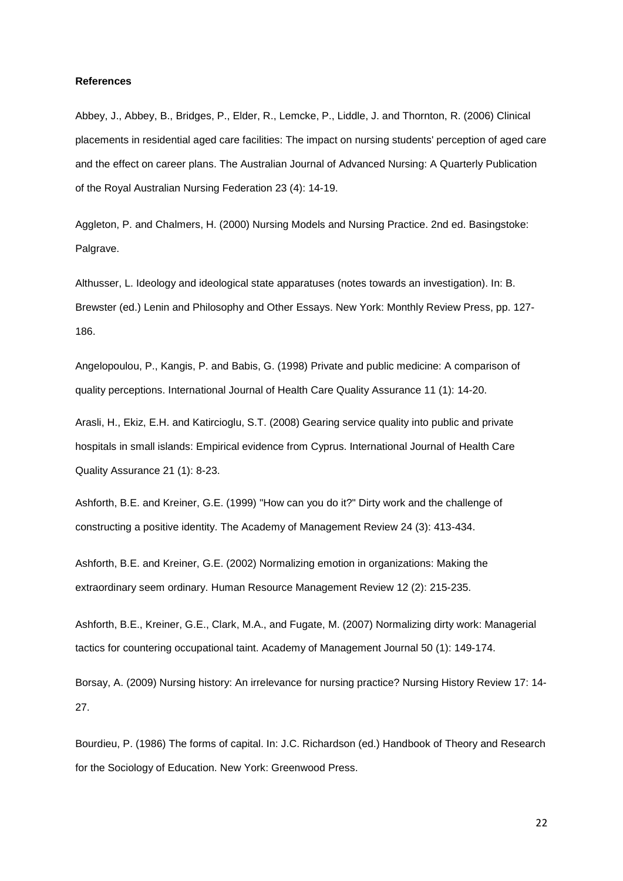# **References**

Abbey, J., Abbey, B., Bridges, P., Elder, R., Lemcke, P., Liddle, J. and Thornton, R. (2006) Clinical placements in residential aged care facilities: The impact on nursing students' perception of aged care and the effect on career plans. The Australian Journal of Advanced Nursing: A Quarterly Publication of the Royal Australian Nursing Federation 23 (4): 14-19.

Aggleton, P. and Chalmers, H. (2000) Nursing Models and Nursing Practice. 2nd ed. Basingstoke: Palgrave.

Althusser, L. Ideology and ideological state apparatuses (notes towards an investigation). In: B. Brewster (ed.) Lenin and Philosophy and Other Essays. New York: Monthly Review Press, pp. 127- 186.

Angelopoulou, P., Kangis, P. and Babis, G. (1998) Private and public medicine: A comparison of quality perceptions. International Journal of Health Care Quality Assurance 11 (1): 14-20.

Arasli, H., Ekiz, E.H. and Katircioglu, S.T. (2008) Gearing service quality into public and private hospitals in small islands: Empirical evidence from Cyprus. International Journal of Health Care Quality Assurance 21 (1): 8-23.

Ashforth, B.E. and Kreiner, G.E. (1999) "How can you do it?" Dirty work and the challenge of constructing a positive identity. The Academy of Management Review 24 (3): 413-434.

Ashforth, B.E. and Kreiner, G.E. (2002) Normalizing emotion in organizations: Making the extraordinary seem ordinary. Human Resource Management Review 12 (2): 215-235.

Ashforth, B.E., Kreiner, G.E., Clark, M.A., and Fugate, M. (2007) Normalizing dirty work: Managerial tactics for countering occupational taint. Academy of Management Journal 50 (1): 149-174.

Borsay, A. (2009) Nursing history: An irrelevance for nursing practice? Nursing History Review 17: 14- 27.

Bourdieu, P. (1986) The forms of capital. In: J.C. Richardson (ed.) Handbook of Theory and Research for the Sociology of Education. New York: Greenwood Press.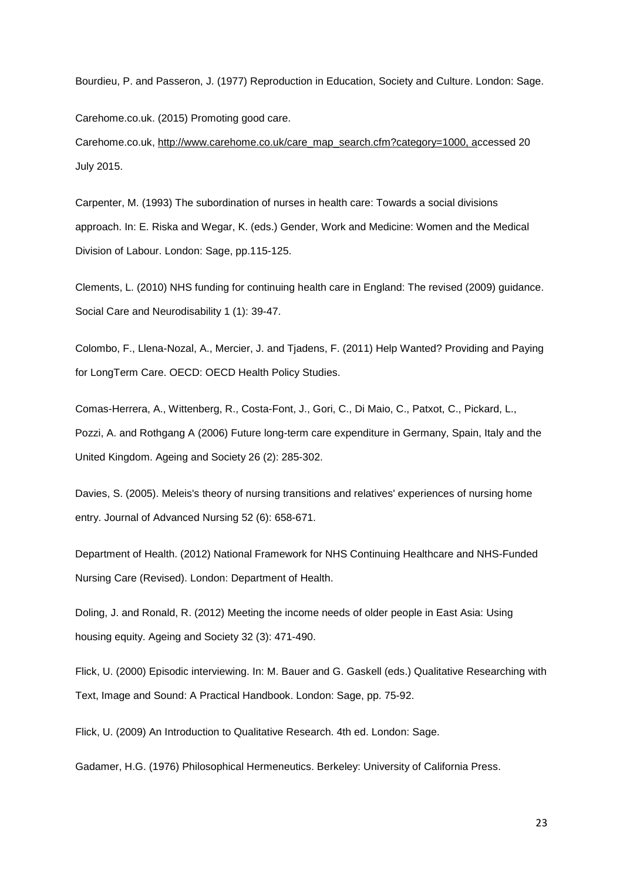Bourdieu, P. and Passeron, J. (1977) Reproduction in Education, Society and Culture. London: Sage.

Carehome.co.uk. (2015) Promoting good care.

Carehome.co.uk, [http://www.carehome.co.uk/care\\_map\\_search.cfm?category=1000,](https://mail.northumbria.ac.uk/owa/redir.aspx?SURL=37t_OczbjdPRqlEJqFLjAO2IjiTMyRCm_jZ9dgth6Vi2YaPcLSbTCGgAdAB0AHAAOgAvAC8AdwB3AHcALgBjAGEAcgBlAGgAbwBtAGUALgBjAG8ALgB1AGsALwBjAGEAcgBlAF8AbQBhAHAAXwBzAGUAYQByAGMAaAAuAGMAZgBtAD8AYwBhAHQAZQBnAG8AcgB5AD0AMQAwADAAMAA.&URL=http%3a%2f%2fwww.carehome.co.uk%2fcare_map_search.cfm%3fcategory%3d1000) accessed 20 July 2015.

Carpenter, M. (1993) The subordination of nurses in health care: Towards a social divisions approach. In: E. Riska and Wegar, K. (eds.) Gender, Work and Medicine: Women and the Medical Division of Labour. London: Sage, pp.115-125.

Clements, L. (2010) NHS funding for continuing health care in England: The revised (2009) guidance. Social Care and Neurodisability 1 (1): 39-47.

Colombo, F., Llena-Nozal, A., Mercier, J. and Tjadens, F. (2011) Help Wanted? Providing and Paying for LongTerm Care. OECD: OECD Health Policy Studies.

Comas-Herrera, A., Wittenberg, R., Costa-Font, J., Gori, C., Di Maio, C., Patxot, C., Pickard, L., Pozzi, A. and Rothgang A (2006) Future long-term care expenditure in Germany, Spain, Italy and the United Kingdom. Ageing and Society 26 (2): 285-302.

Davies, S. (2005). Meleis's theory of nursing transitions and relatives' experiences of nursing home entry. Journal of Advanced Nursing 52 (6): 658-671.

Department of Health. (2012) National Framework for NHS Continuing Healthcare and NHS-Funded Nursing Care (Revised). London: Department of Health.

Doling, J. and Ronald, R. (2012) Meeting the income needs of older people in East Asia: Using housing equity. Ageing and Society 32 (3): 471-490.

Flick, U. (2000) Episodic interviewing. In: M. Bauer and G. Gaskell (eds.) Qualitative Researching with Text, Image and Sound: A Practical Handbook. London: Sage, pp. 75-92.

Flick, U. (2009) An Introduction to Qualitative Research. 4th ed. London: Sage.

Gadamer, H.G. (1976) Philosophical Hermeneutics. Berkeley: University of California Press.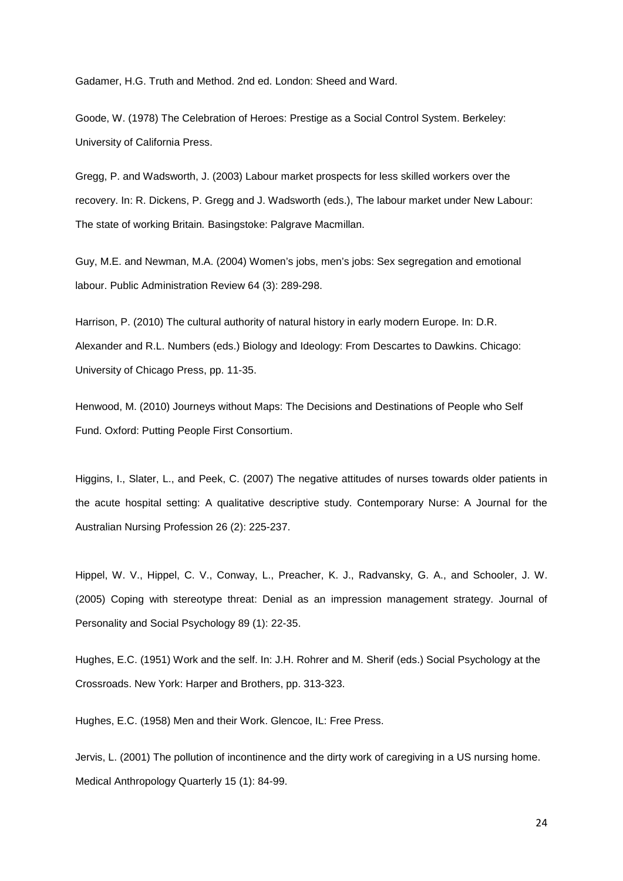Gadamer, H.G. Truth and Method. 2nd ed. London: Sheed and Ward.

Goode, W. (1978) The Celebration of Heroes: Prestige as a Social Control System. Berkeley: University of California Press.

Gregg, P. and Wadsworth, J. (2003) Labour market prospects for less skilled workers over the recovery. In: R. Dickens, P. Gregg and J. Wadsworth (eds.), The labour market under New Labour: The state of working Britain. Basingstoke: Palgrave Macmillan.

Guy, M.E. and Newman, M.A. (2004) Women's jobs, men's jobs: Sex segregation and emotional labour. Public Administration Review 64 (3): 289-298.

Harrison, P. (2010) The cultural authority of natural history in early modern Europe. In: D.R. Alexander and R.L. Numbers (eds.) Biology and Ideology: From Descartes to Dawkins. Chicago: University of Chicago Press, pp. 11-35.

Henwood, M. (2010) Journeys without Maps: The Decisions and Destinations of People who Self Fund. Oxford: Putting People First Consortium.

Higgins, I., Slater, L., and Peek, C. (2007) The negative attitudes of nurses towards older patients in the acute hospital setting: A qualitative descriptive study. Contemporary Nurse: A Journal for the Australian Nursing Profession 26 (2): 225-237.

Hippel, W. V., Hippel, C. V., Conway, L., Preacher, K. J., Radvansky, G. A., and Schooler, J. W. (2005) Coping with stereotype threat: Denial as an impression management strategy. Journal of Personality and Social Psychology 89 (1): 22-35.

Hughes, E.C. (1951) Work and the self. In: J.H. Rohrer and M. Sherif (eds.) Social Psychology at the Crossroads. New York: Harper and Brothers, pp. 313-323.

Hughes, E.C. (1958) Men and their Work. Glencoe, IL: Free Press.

Jervis, L. (2001) The pollution of incontinence and the dirty work of caregiving in a US nursing home. Medical Anthropology Quarterly 15 (1): 84-99.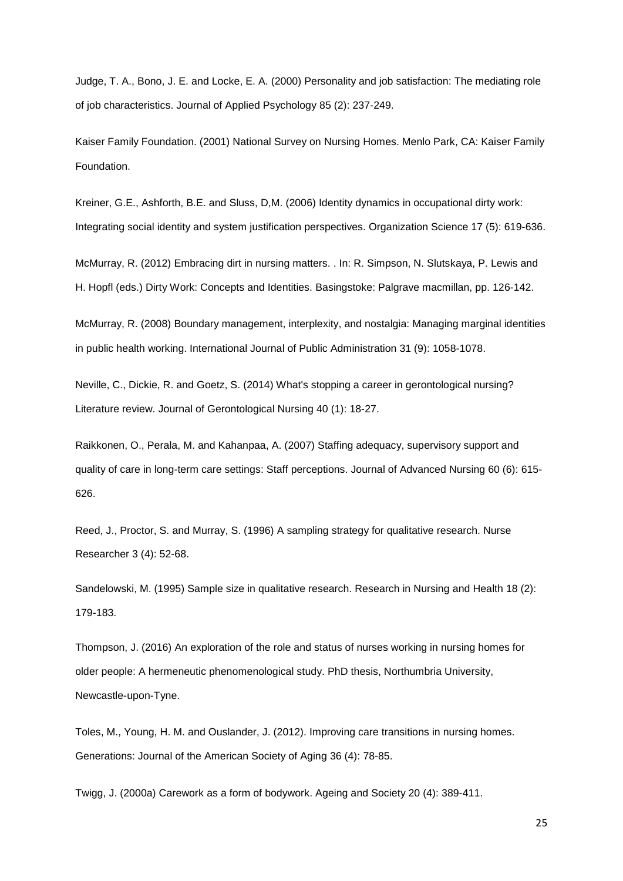Judge, T. A., Bono, J. E. and Locke, E. A. (2000) Personality and job satisfaction: The mediating role of job characteristics. Journal of Applied Psychology 85 (2): 237-249.

Kaiser Family Foundation. (2001) National Survey on Nursing Homes. Menlo Park, CA: Kaiser Family Foundation.

Kreiner, G.E., Ashforth, B.E. and Sluss, D,M. (2006) Identity dynamics in occupational dirty work: Integrating social identity and system justification perspectives. Organization Science 17 (5): 619-636.

McMurray, R. (2012) Embracing dirt in nursing matters. . In: R. Simpson, N. Slutskaya, P. Lewis and H. Hopfl (eds.) Dirty Work: Concepts and Identities. Basingstoke: Palgrave macmillan, pp. 126-142.

McMurray, R. (2008) Boundary management, interplexity, and nostalgia: Managing marginal identities in public health working. International Journal of Public Administration 31 (9): 1058-1078.

Neville, C., Dickie, R. and Goetz, S. (2014) What's stopping a career in gerontological nursing? Literature review. Journal of Gerontological Nursing 40 (1): 18-27.

Raikkonen, O., Perala, M. and Kahanpaa, A. (2007) Staffing adequacy, supervisory support and quality of care in long-term care settings: Staff perceptions. Journal of Advanced Nursing 60 (6): 615- 626.

Reed, J., Proctor, S. and Murray, S. (1996) A sampling strategy for qualitative research. Nurse Researcher 3 (4): 52-68.

Sandelowski, M. (1995) Sample size in qualitative research. Research in Nursing and Health 18 (2): 179-183.

Thompson, J. (2016) An exploration of the role and status of nurses working in nursing homes for older people: A hermeneutic phenomenological study. PhD thesis, Northumbria University, Newcastle-upon-Tyne.

Toles, M., Young, H. M. and Ouslander, J. (2012). Improving care transitions in nursing homes. Generations: Journal of the American Society of Aging 36 (4): 78-85.

Twigg, J. (2000a) Carework as a form of bodywork. Ageing and Society 20 (4): 389-411.